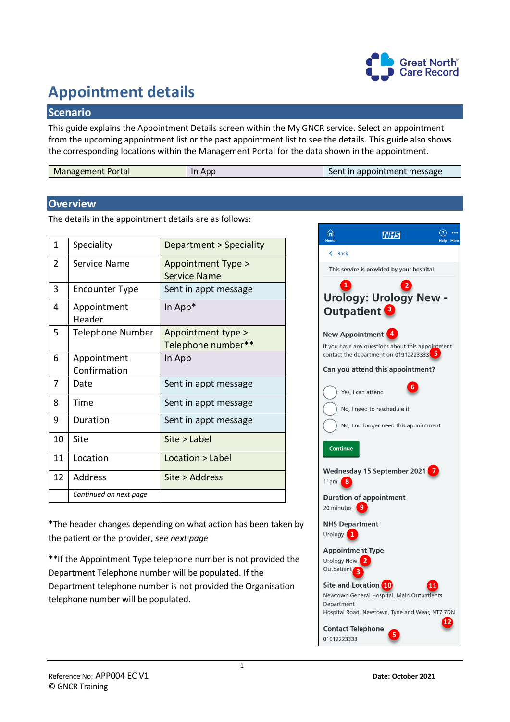

## **Appointment details**

## **Scenario**

This guide explains the Appointment Details screen within the My GNCR service. Select an appointment from the upcoming appointment list or the past appointment list to see the details. This guide also shows the corresponding locations within the Management Portal for the data shown in the appointment.

| <b>Management Portal</b> | Apr<br>In | Sent in appointment message |
|--------------------------|-----------|-----------------------------|
|--------------------------|-----------|-----------------------------|

## **Overview**

The details in the appointment details are as follows:

| 1  | Speciality             | Department > Speciality |
|----|------------------------|-------------------------|
| 2  | Service Name           | Appointment Type >      |
|    |                        | <b>Service Name</b>     |
| 3  | <b>Encounter Type</b>  | Sent in appt message    |
| 4  | Appointment            | In App*                 |
|    | Header                 |                         |
| 5  | Telephone Number       | Appointment type >      |
|    |                        | Telephone number**      |
| 6  | Appointment            | In App                  |
|    | Confirmation           |                         |
| 7  | Date                   | Sent in appt message    |
| 8  | Time                   | Sent in appt message    |
| 9  | Duration               | Sent in appt message    |
| 10 | Site                   | Site > Label            |
| 11 | Location               | Location > Label        |
| 12 | Address                | Site > Address          |
|    | Continued on next page |                         |

\*The header changes depending on what action has been taken by the patient or the provider, *see next page*

\*\*If the Appointment Type telephone number is not provided the Department Telephone number will be populated. If the Department telephone number is not provided the Organisation telephone number will be populated.

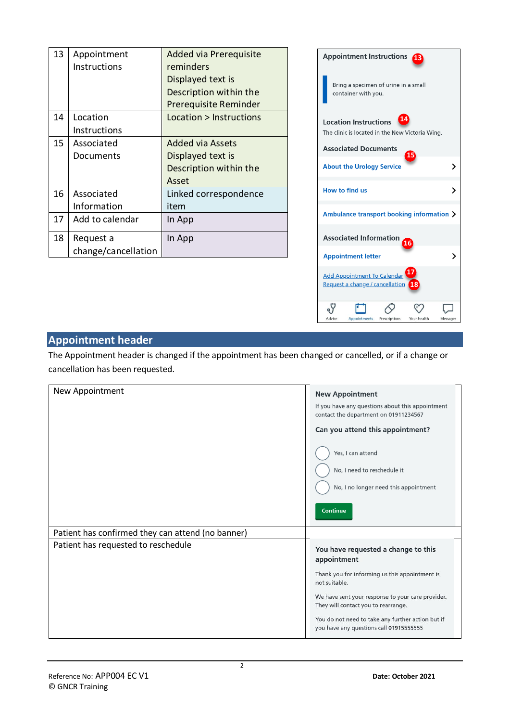| 13 | Appointment         | Added via Prerequisite  |
|----|---------------------|-------------------------|
|    | Instructions        | reminders               |
|    |                     | Displayed text is       |
|    |                     | Description within the  |
|    |                     | Prerequisite Reminder   |
| 14 | Location            | Location > Instructions |
|    | Instructions        |                         |
| 15 | Associated          | <b>Added via Assets</b> |
|    | Documents           | Displayed text is       |
|    |                     | Description within the  |
|    |                     | Asset                   |
| 16 | Associated          | Linked correspondence   |
|    | Information         | item                    |
| 17 | Add to calendar     | In App                  |
| 18 | Request a           | In App                  |
|    | change/cancellation |                         |



## **Appointment header**

The Appointment header is changed if the appointment has been changed or cancelled, or if a change or cancellation has been requested.

| New Appointment                                   | <b>New Appointment</b>                                                                       |
|---------------------------------------------------|----------------------------------------------------------------------------------------------|
|                                                   | If you have any questions about this appointment<br>contact the department on 01911234567    |
|                                                   | Can you attend this appointment?                                                             |
|                                                   | Yes, I can attend                                                                            |
|                                                   | No, I need to reschedule it                                                                  |
|                                                   | No, I no longer need this appointment                                                        |
|                                                   | <b>Continue</b>                                                                              |
| Patient has confirmed they can attend (no banner) |                                                                                              |
| Patient has requested to reschedule               | You have requested a change to this<br>appointment                                           |
|                                                   | Thank you for informing us this appointment is<br>not suitable.                              |
|                                                   | We have sent your response to your care provider.<br>They will contact you to rearrange.     |
|                                                   | You do not need to take any further action but if<br>you have any questions call 01915555555 |